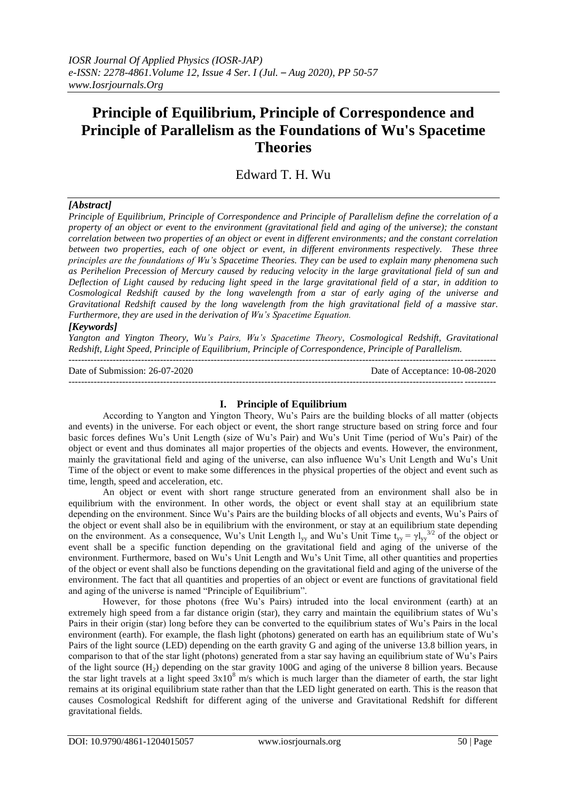# **Principle of Equilibrium, Principle of Correspondence and Principle of Parallelism as the Foundations of Wu's Spacetime Theories**

## Edward T. H. Wu

## *[Abstract]*

*Principle of Equilibrium, Principle of Correspondence and Principle of Parallelism define the correlation of a property of an object or event to the environment (gravitational field and aging of the universe); the constant correlation between two properties of an object or event in different environments; and the constant correlation between two properties, each of one object or event, in different environments respectively. These three principles are the foundations of Wu's Spacetime Theories. They can be used to explain many phenomena such as Perihelion Precession of Mercury caused by reducing velocity in the large gravitational field of sun and Deflection of Light caused by reducing light speed in the large gravitational field of a star, in addition to Cosmological Redshift caused by the long wavelength from a star of early aging of the universe and Gravitational Redshift caused by the long wavelength from the high gravitational field of a massive star. Furthermore, they are used in the derivation of Wu's Spacetime Equation.*

## *[Keywords]*

*Yangton and Yington Theory, Wu's Pairs, Wu's Spacetime Theory, Cosmological Redshift, Gravitational Redshift, Light Speed, Principle of Equilibrium, Principle of Correspondence, Principle of Parallelism.* ---------------------------------------------------------------------------------------------------------------------------------------

Date of Submission: 26-07-2020 Date of Acceptance: 10-08-2020

## **I. Principle of Equilibrium**

---------------------------------------------------------------------------------------------------------------------------------------

According to Yangton and Yington Theory, Wu's Pairs are the building blocks of all matter (objects and events) in the universe. For each object or event, the short range structure based on string force and four basic forces defines Wu's Unit Length (size of Wu's Pair) and Wu's Unit Time (period of Wu's Pair) of the object or event and thus dominates all major properties of the objects and events. However, the environment, mainly the gravitational field and aging of the universe, can also influence Wu's Unit Length and Wu's Unit Time of the object or event to make some differences in the physical properties of the object and event such as time, length, speed and acceleration, etc.

An object or event with short range structure generated from an environment shall also be in equilibrium with the environment. In other words, the object or event shall stay at an equilibrium state depending on the environment. Since Wu's Pairs are the building blocks of all objects and events, Wu's Pairs of the object or event shall also be in equilibrium with the environment, or stay at an equilibrium state depending on the environment. As a consequence, Wu's Unit Length  $l_{yy}$  and Wu's Unit Time  $t_{yy} = \gamma l_{yy}^{3/2}$  of the object or event shall be a specific function depending on the gravitational field and aging of the universe of the environment. Furthermore, based on Wu's Unit Length and Wu's Unit Time, all other quantities and properties of the object or event shall also be functions depending on the gravitational field and aging of the universe of the environment. The fact that all quantities and properties of an object or event are functions of gravitational field and aging of the universe is named "Principle of Equilibrium".

However, for those photons (free Wu's Pairs) intruded into the local environment (earth) at an extremely high speed from a far distance origin (star), they carry and maintain the equilibrium states of Wu's Pairs in their origin (star) long before they can be converted to the equilibrium states of Wu's Pairs in the local environment (earth). For example, the flash light (photons) generated on earth has an equilibrium state of Wu's Pairs of the light source (LED) depending on the earth gravity G and aging of the universe 13.8 billion years, in comparison to that of the star light (photons) generated from a star say having an equilibrium state of Wu's Pairs of the light source  $(H_2)$  depending on the star gravity 100G and aging of the universe 8 billion years. Because the star light travels at a light speed  $3x10^8$  m/s which is much larger than the diameter of earth, the star light remains at its original equilibrium state rather than that the LED light generated on earth. This is the reason that causes Cosmological Redshift for different aging of the universe and Gravitational Redshift for different gravitational fields.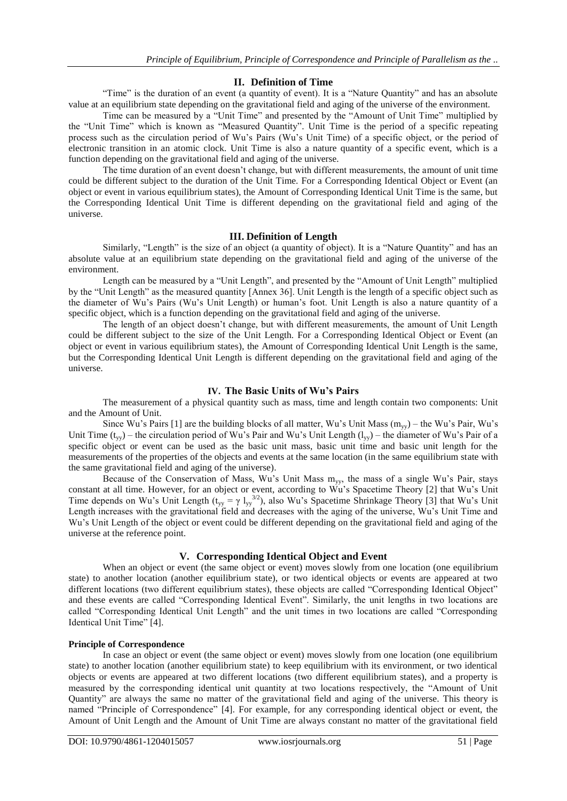#### **II. Definition of Time**

"Time" is the duration of an event (a quantity of event). It is a "Nature Quantity" and has an absolute value at an equilibrium state depending on the gravitational field and aging of the universe of the environment.

Time can be measured by a "Unit Time" and presented by the "Amount of Unit Time" multiplied by the "Unit Time" which is known as "Measured Quantity". Unit Time is the period of a specific repeating process such as the circulation period of Wu's Pairs (Wu's Unit Time) of a specific object, or the period of electronic transition in an atomic clock. Unit Time is also a nature quantity of a specific event, which is a function depending on the gravitational field and aging of the universe.

The time duration of an event doesn't change, but with different measurements, the amount of unit time could be different subject to the duration of the Unit Time. For a Corresponding Identical Object or Event (an object or event in various equilibrium states), the Amount of Corresponding Identical Unit Time is the same, but the Corresponding Identical Unit Time is different depending on the gravitational field and aging of the universe.

#### **III. Definition of Length**

Similarly, "Length" is the size of an object (a quantity of object). It is a "Nature Quantity" and has an absolute value at an equilibrium state depending on the gravitational field and aging of the universe of the environment.

Length can be measured by a "Unit Length", and presented by the "Amount of Unit Length" multiplied by the "Unit Length" as the measured quantity [Annex 36]. Unit Length is the length of a specific object such as the diameter of Wu's Pairs (Wu's Unit Length) or human's foot. Unit Length is also a nature quantity of a specific object, which is a function depending on the gravitational field and aging of the universe.

The length of an object doesn't change, but with different measurements, the amount of Unit Length could be different subject to the size of the Unit Length. For a Corresponding Identical Object or Event (an object or event in various equilibrium states), the Amount of Corresponding Identical Unit Length is the same, but the Corresponding Identical Unit Length is different depending on the gravitational field and aging of the universe.

## **IV. The Basic Units of Wu's Pairs**

The measurement of a physical quantity such as mass, time and length contain two components: Unit and the Amount of Unit.

Since Wu's Pairs [1] are the building blocks of all matter, Wu's Unit Mass  $(m_{yy})$  – the Wu's Pair, Wu's Unit Time  $(t_{yy})$  – the circulation period of Wu's Pair and Wu's Unit Length  $(l_{yy})$  – the diameter of Wu's Pair of a specific object or event can be used as the basic unit mass, basic unit time and basic unit length for the measurements of the properties of the objects and events at the same location (in the same equilibrium state with the same gravitational field and aging of the universe).

Because of the Conservation of Mass, Wu's Unit Mass myy, the mass of a single Wu's Pair, stays constant at all time. However, for an object or event, according to Wu's Spacetime Theory [2] that Wu's Unit Time depends on Wu's Unit Length ( $t_{yy} = \gamma l_{yy}^{3/2}$ ), also Wu's Spacetime Shrinkage Theory [3] that Wu's Unit Length increases with the gravitational field and decreases with the aging of the universe, Wu's Unit Time and Wu's Unit Length of the object or event could be different depending on the gravitational field and aging of the universe at the reference point.

## **V. Corresponding Identical Object and Event**

When an object or event (the same object or event) moves slowly from one location (one equilibrium state) to another location (another equilibrium state), or two identical objects or events are appeared at two different locations (two different equilibrium states), these objects are called "Corresponding Identical Object" and these events are called "Corresponding Identical Event". Similarly, the unit lengths in two locations are called "Corresponding Identical Unit Length" and the unit times in two locations are called "Corresponding Identical Unit Time" [4].

## **Principle of Correspondence**

In case an object or event (the same object or event) moves slowly from one location (one equilibrium state) to another location (another equilibrium state) to keep equilibrium with its environment, or two identical objects or events are appeared at two different locations (two different equilibrium states), and a property is measured by the corresponding identical unit quantity at two locations respectively, the "Amount of Unit Quantity" are always the same no matter of the gravitational field and aging of the universe. This theory is named "Principle of Correspondence" [4]. For example, for any corresponding identical object or event, the Amount of Unit Length and the Amount of Unit Time are always constant no matter of the gravitational field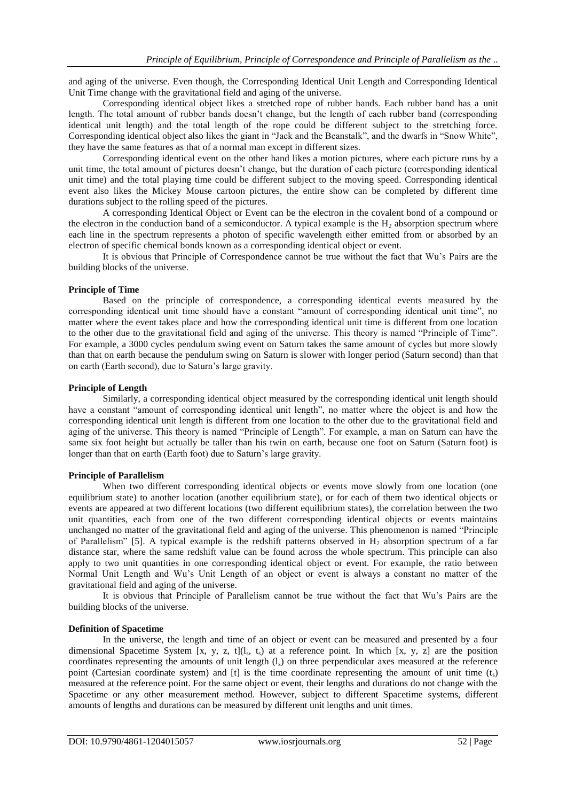and aging of the universe. Even though, the Corresponding Identical Unit Length and Corresponding Identical Unit Time change with the gravitational field and aging of the universe.

Corresponding identical object likes a stretched rope of rubber bands. Each rubber band has a unit length. The total amount of rubber bands doesn't change, but the length of each rubber band (corresponding identical unit length) and the total length of the rope could be different subject to the stretching force. Corresponding identical object also likes the giant in "Jack and the Beanstalk", and the dwarfs in "Snow White", they have the same features as that of a normal man except in different sizes.

Corresponding identical event on the other hand likes a motion pictures, where each picture runs by a unit time, the total amount of pictures doesn't change, but the duration of each picture (corresponding identical unit time) and the total playing time could be different subject to the moving speed. Corresponding identical event also likes the Mickey Mouse cartoon pictures, the entire show can be completed by different time durations subject to the rolling speed of the pictures.

A corresponding Identical Object or Event can be the electron in the covalent bond of a compound or the electron in the conduction band of a semiconductor. A typical example is the  $H_2$  absorption spectrum where each line in the spectrum represents a photon of specific wavelength either emitted from or absorbed by an electron of specific chemical bonds known as a corresponding identical object or event.

It is obvious that Principle of Correspondence cannot be true without the fact that Wu's Pairs are the building blocks of the universe.

#### **Principle of Time**

Based on the principle of correspondence, a corresponding identical events measured by the corresponding identical unit time should have a constant "amount of corresponding identical unit time", no matter where the event takes place and how the corresponding identical unit time is different from one location to the other due to the gravitational field and aging of the universe. This theory is named "Principle of Time". For example, a 3000 cycles pendulum swing event on Saturn takes the same amount of cycles but more slowly than that on earth because the pendulum swing on Saturn is slower with longer period (Saturn second) than that on earth (Earth second), due to Saturn's large gravity.

#### **Principle of Length**

Similarly, a corresponding identical object measured by the corresponding identical unit length should have a constant "amount of corresponding identical unit length", no matter where the object is and how the corresponding identical unit length is different from one location to the other due to the gravitational field and aging of the universe. This theory is named "Principle of Length". For example, a man on Saturn can have the same six foot height but actually be taller than his twin on earth, because one foot on Saturn (Saturn foot) is longer than that on earth (Earth foot) due to Saturn's large gravity.

#### **Principle of Parallelism**

When two different corresponding identical objects or events move slowly from one location (one equilibrium state) to another location (another equilibrium state), or for each of them two identical objects or events are appeared at two different locations (two different equilibrium states), the correlation between the two unit quantities, each from one of the two different corresponding identical objects or events maintains unchanged no matter of the gravitational field and aging of the universe. This phenomenon is named "Principle of Parallelism" [5]. A typical example is the redshift patterns observed in  $H_2$  absorption spectrum of a far distance star, where the same redshift value can be found across the whole spectrum. This principle can also apply to two unit quantities in one corresponding identical object or event. For example, the ratio between Normal Unit Length and Wu's Unit Length of an object or event is always a constant no matter of the gravitational field and aging of the universe.

It is obvious that Principle of Parallelism cannot be true without the fact that Wu's Pairs are the building blocks of the universe.

#### **Definition of Spacetime**

In the universe, the length and time of an object or event can be measured and presented by a four dimensional Spacetime System [x, y, z, t]( $l_s$ , t<sub>s</sub>) at a reference point. In which [x, y, z] are the position coordinates representing the amounts of unit length  $(l<sub>s</sub>)$  on three perpendicular axes measured at the reference point (Cartesian coordinate system) and [t] is the time coordinate representing the amount of unit time  $(t<sub>s</sub>)$ measured at the reference point. For the same object or event, their lengths and durations do not change with the Spacetime or any other measurement method. However, subject to different Spacetime systems, different amounts of lengths and durations can be measured by different unit lengths and unit times.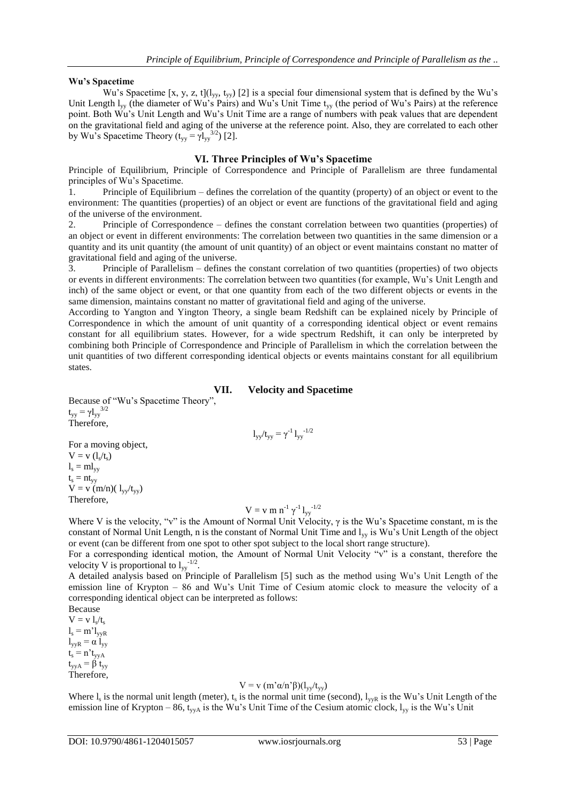#### **Wu's Spacetime**

Wu's Spacetime [x, y, z, t]( $l_{yy}$ , t<sub>yy</sub>) [2] is a special four dimensional system that is defined by the Wu's Unit Length  $I_{vv}$  (the diameter of Wu's Pairs) and Wu's Unit Time  $t_{vv}$  (the period of Wu's Pairs) at the reference point. Both Wu's Unit Length and Wu's Unit Time are a range of numbers with peak values that are dependent on the gravitational field and aging of the universe at the reference point. Also, they are correlated to each other by Wu's Spacetime Theory  $(t_{yy} = \gamma l_{yy}^{3/2})$  [2].

#### **VI. Three Principles of Wu's Spacetime**

Principle of Equilibrium, Principle of Correspondence and Principle of Parallelism are three fundamental principles of Wu's Spacetime.

1. Principle of Equilibrium – defines the correlation of the quantity (property) of an object or event to the environment: The quantities (properties) of an object or event are functions of the gravitational field and aging of the universe of the environment.

2. Principle of Correspondence – defines the constant correlation between two quantities (properties) of an object or event in different environments: The correlation between two quantities in the same dimension or a quantity and its unit quantity (the amount of unit quantity) of an object or event maintains constant no matter of gravitational field and aging of the universe.

3. Principle of Parallelism – defines the constant correlation of two quantities (properties) of two objects or events in different environments: The correlation between two quantities (for example, Wu's Unit Length and inch) of the same object or event, or that one quantity from each of the two different objects or events in the same dimension, maintains constant no matter of gravitational field and aging of the universe.

According to Yangton and Yington Theory, a single beam Redshift can be explained nicely by Principle of Correspondence in which the amount of unit quantity of a corresponding identical object or event remains constant for all equilibrium states. However, for a wide spectrum Redshift, it can only be interpreted by combining both Principle of Correspondence and Principle of Parallelism in which the correlation between the unit quantities of two different corresponding identical objects or events maintains constant for all equilibrium states.

## **VII. Velocity and Spacetime**

Because of "Wu's Spacetime Theory",  $t_{yy} = \gamma l_{yy}^{3/2}$ Therefore,

$$
l_{yy}/t_{yy} = \gamma^{-1}\,l_{yy}^{-1/2}
$$

For a moving object,  $V = v(l_s/t_s)$  $l_s = m l_{yy}$  $t_s = nt_{yy}$  $V = v (m/n)(1_{yy}/t_{yy})$ Therefore,

## $V = v m n<sup>-1</sup> γ<sup>-1</sup> l<sub>yy</sub><sup>-1/2</sup>$

Where V is the velocity, "v" is the Amount of Normal Unit Velocity,  $\gamma$  is the Wu's Spacetime constant, m is the constant of Normal Unit Length, n is the constant of Normal Unit Time and l<sub>yy</sub> is Wu's Unit Length of the object or event (can be different from one spot to other spot subject to the local short range structure).

For a corresponding identical motion, the Amount of Normal Unit Velocity "v" is a constant, therefore the velocity V is proportional to  $l_{yy}$ <sup>-1/2</sup>.

A detailed analysis based on Principle of Parallelism [5] such as the method using Wu's Unit Length of the emission line of Krypton – 86 and Wu's Unit Time of Cesium atomic clock to measure the velocity of a corresponding identical object can be interpreted as follows: Because

 $V = v l_s/t_s$  $l_s = m' l_{vvR}$  $l_{vvR} = \alpha l_{vv}$  $t_s = n't_{yyA}$  $t_{\text{vVA}} = \beta t_{\text{vy}}$ Therefore,

## V = v (m'α/n'β)(l<sub>yy</sub>/t<sub>yy</sub>)

Where  $l_s$  is the normal unit length (meter),  $t_s$  is the normal unit time (second),  $l_{yyR}$  is the Wu's Unit Length of the emission line of Krypton – 86, t<sub>yyA</sub> is the Wu's Unit Time of the Cesium atomic clock,  $l_{yy}$  is the Wu's Unit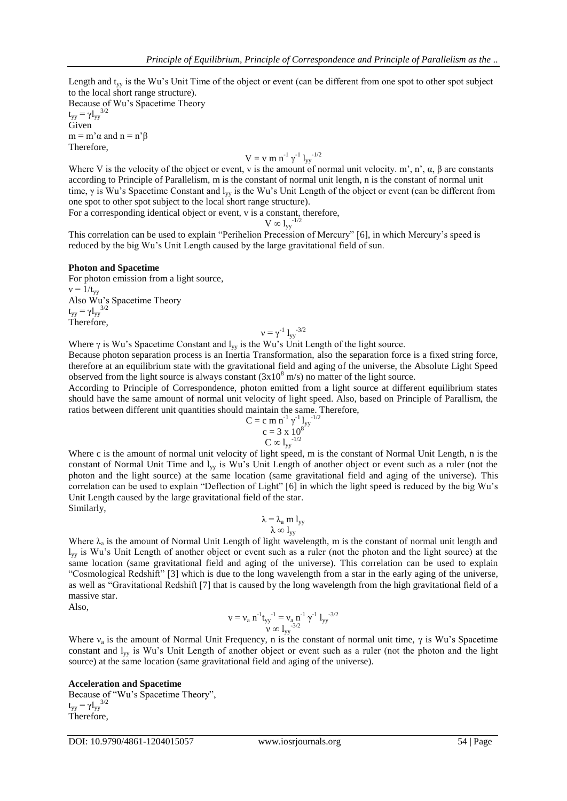Length and t<sub>yy</sub> is the Wu's Unit Time of the object or event (can be different from one spot to other spot subject to the local short range structure).

Because of Wu's Spacetime Theory  $t_{yy} = \gamma l_{yy}^{3/2}$ Given  $m = m' \alpha$  and  $n = n' \beta$ 

Therefore,

$$
V = v \ m \ n^{-1} \ \gamma^{-1} \ l_{yy}^{-1/2}
$$

Where V is the velocity of the object or event, v is the amount of normal unit velocity. m', n',  $\alpha$ ,  $\beta$  are constants according to Principle of Parallelism, m is the constant of normal unit length, n is the constant of normal unit time, γ is Wu's Spacetime Constant and l<sub>yy</sub> is the Wu's Unit Length of the object or event (can be different from one spot to other spot subject to the local short range structure).

For a corresponding identical object or event, v is a constant, therefore,

 $\rm V \varpropto l_{yy}^{-1/2}$ 

This correlation can be used to explain "Perihelion Precession of Mercury" [6], in which Mercury's speed is reduced by the big Wu's Unit Length caused by the large gravitational field of sun.

#### **Photon and Spacetime**

For photon emission from a light source,  $v = 1/t_{\rm vv}$ Also Wu's Spacetime Theory  $t_{yy} = \gamma l_{yy}^{3/2}$ Therefore,

$$
\nu=\gamma^{-1}\;l_{yy}^{-3/2}
$$

Where  $\gamma$  is Wu's Spacetime Constant and  $l_{yy}$  is the Wu's Unit Length of the light source.

Because photon separation process is an Inertia Transformation, also the separation force is a fixed string force, therefore at an equilibrium state with the gravitational field and aging of the universe, the Absolute Light Speed observed from the light source is always constant  $(3x10<sup>8</sup> m/s)$  no matter of the light source.

According to Principle of Correspondence, photon emitted from a light source at different equilibrium states should have the same amount of normal unit velocity of light speed. Also, based on Principle of Parallism, the ratios between different unit quantities should maintain the same. Therefore,

$$
C = c \, m \, n^{-1} \, \gamma^{-1} \, l_{yy}^{-1/2}
$$

$$
c = 3 \, x \, 10^8
$$

$$
C \, \infty \, l_{yy}^{-1/2}
$$

Where c is the amount of normal unit velocity of light speed, m is the constant of Normal Unit Length, n is the constant of Normal Unit Time and l<sub>yy</sub> is Wu's Unit Length of another object or event such as a ruler (not the photon and the light source) at the same location (same gravitational field and aging of the universe). This correlation can be used to explain "Deflection of Light" [6] in which the light speed is reduced by the big Wu's Unit Length caused by the large gravitational field of the star. Similarly,

$$
\begin{array}{c} \lambda=\lambda_a\; m\; l_{yy} \\ \lambda\; \infty\; l_{yy} \end{array}
$$

Where  $\lambda_a$  is the amount of Normal Unit Length of light wavelength, m is the constant of normal unit length and  $l_{\rm{vv}}$  is Wu's Unit Length of another object or event such as a ruler (not the photon and the light source) at the same location (same gravitational field and aging of the universe). This correlation can be used to explain "Cosmological Redshift" [3] which is due to the long wavelength from a star in the early aging of the universe, as well as "Gravitational Redshift [7] that is caused by the long wavelength from the high gravitational field of a massive star.

Also,

$$
\nu = \nu_a \; n^{-1} t_{yy}^{-1} = \nu_a \, n^{-1} \; \gamma^{-1} \; l_{yy}^{-3/2} \\ \nu \, \propto \, l_{yy}^{-3/2}
$$

Where  $v_a$  is the amount of Normal Unit Frequency, n is the constant of normal unit time,  $\gamma$  is Wu's Spacetime constant and  $l_{\rm{vv}}$  is Wu's Unit Length of another object or event such as a ruler (not the photon and the light source) at the same location (same gravitational field and aging of the universe).

**Acceleration and Spacetime** Because of "Wu's Spacetime Theory",  $t_{yy} = \gamma l_{yy}^{3/2}$ Therefore,

DOI: 10.9790/4861-1204015057 www.iosrjournals.org 54 | Page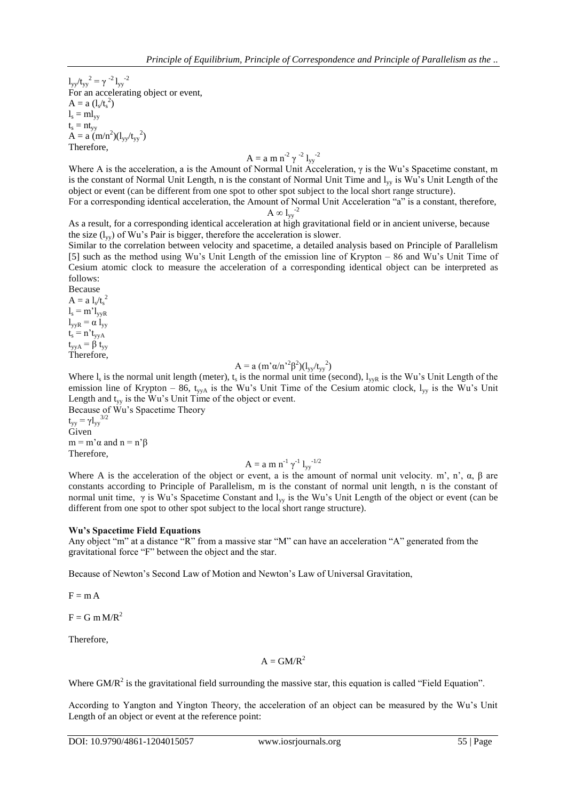$1_{yy}/t_{yy}^2 = \gamma^{-2} 1_{yy}^{-2}$ For an accelerating object or event,  $A = a (l_s/t_s^2)$  $l_s = ml_{yy}$  $t_s = nt_{yy}$  $A = a \left( m/n^2 \right) \left( l_{yy}/t_{yy}^2 \right)$ Therefore,

$$
A = a m n^{2} \gamma^{-2} l_{yy}^{-2}
$$

Where A is the acceleration, a is the Amount of Normal Unit Acceleration,  $\gamma$  is the Wu's Spacetime constant, m is the constant of Normal Unit Length, n is the constant of Normal Unit Time and  $l_{vv}$  is Wu's Unit Length of the object or event (can be different from one spot to other spot subject to the local short range structure).

For a corresponding identical acceleration, the Amount of Normal Unit Acceleration "a" is a constant, therefore,  $A \otimes l_{yy}^{-2}$ 

As a result, for a corresponding identical acceleration at high gravitational field or in ancient universe, because the size  $(l_{vv})$  of Wu's Pair is bigger, therefore the acceleration is slower.

Similar to the correlation between velocity and spacetime, a detailed analysis based on Principle of Parallelism [5] such as the method using Wu's Unit Length of the emission line of Krypton – 86 and Wu's Unit Time of Cesium atomic clock to measure the acceleration of a corresponding identical object can be interpreted as follows:

Because  $A = a l_s/t_s^2$  $l_s = m' l_{vvR}$  $l_{\rm vyR} = \alpha l_{\rm vy}$  $t_s = n't_{yyA}$  $t_{yyA} = \beta t_{yy}$ Therefore,

$$
A = a (m' \alpha/n'^2 \beta^2) (l_{yy}/t_{yy}^2)
$$

Where  $l_s$  is the normal unit length (meter),  $t_s$  is the normal unit time (second),  $l_{yyR}$  is the Wu's Unit Length of the emission line of Krypton – 86, t<sub>yyA</sub> is the Wu's Unit Time of the Cesium atomic clock,  $l_{yy}$  is the Wu's Unit Length and  $t_{yy}$  is the Wu's Unit Time of the object or event. Because of Wu's Spacetime Theory

 $t_{yy} = \gamma l_{yy}^{3/2}$ Given  $m = m' \alpha$  and  $n = n' \beta$ Therefore,

$$
A = a m n^{-1} \gamma^{-1} l_{yy}^{-1/2}
$$

Where A is the acceleration of the object or event, a is the amount of normal unit velocity. m', n',  $\alpha$ ,  $\beta$  are constants according to Principle of Parallelism, m is the constant of normal unit length, n is the constant of normal unit time, γ is Wu's Spacetime Constant and l<sub>yy</sub> is the Wu's Unit Length of the object or event (can be different from one spot to other spot subject to the local short range structure).

#### **Wu's Spacetime Field Equations**

Any object "m" at a distance "R" from a massive star "M" can have an acceleration "A" generated from the gravitational force "F" between the object and the star.

Because of Newton's Second Law of Motion and Newton's Law of Universal Gravitation,

 $F = m A$ 

 $F = G m M/R^2$ 

Therefore,

## $A = GM/R<sup>2</sup>$

Where GM/ $R<sup>2</sup>$  is the gravitational field surrounding the massive star, this equation is called "Field Equation".

According to Yangton and Yington Theory, the acceleration of an object can be measured by the Wu's Unit Length of an object or event at the reference point: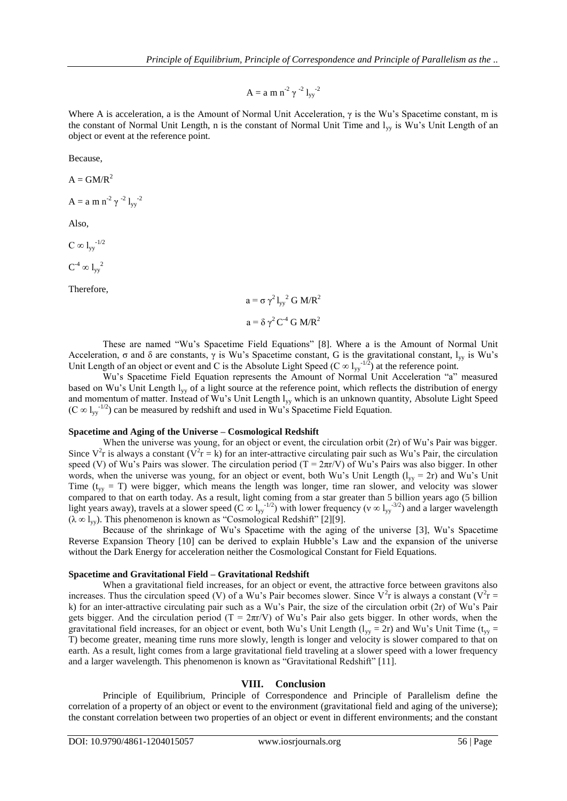$A = a m n<sup>-2</sup> γ<sup>-2</sup> l<sub>yy</sub><sup>-2</sup>$ 

Where A is acceleration, a is the Amount of Normal Unit Acceleration, γ is the Wu's Spacetime constant, m is the constant of Normal Unit Length, n is the constant of Normal Unit Time and  $l_{vv}$  is Wu's Unit Length of an object or event at the reference point.

Because,

 $A = GM/R<sup>2</sup>$ 

 $A = a m n<sup>-2</sup> \gamma <sup>-2</sup> l_{yy}^{-2}$ 

Also,

 $C \infty$   $\frac{1}{2}$   $\frac{1}{2}$ 

 $C^{-4} \infty 1_{yy}^2$ 

Therefore,

 $a = \sigma \gamma^2 l_{yy}^2 G M/R^2$  $a = \delta \gamma^2 C^{-4} G M/R^2$ 

These are named "Wu's Spacetime Field Equations" [8]. Where a is the Amount of Normal Unit Acceleration,  $\sigma$  and  $\delta$  are constants,  $\gamma$  is Wu's Spacetime constant, G is the gravitational constant,  $l_{yy}$  is Wu's Unit Length of an object or event and C is the Absolute Light Speed (C  $\infty$  l<sub>yy</sub><sup>-1/2</sup>) at the reference point.

Wu's Spacetime Field Equation represents the Amount of Normal Unit Acceleration "a" measured based on Wu's Unit Length lyy of a light source at the reference point, which reflects the distribution of energy and momentum of matter. Instead of Wu's Unit Length  $l_{yy}$  which is an unknown quantity, Absolute Light Speed  $(C \otimes l_{yy}^{-1/2})$  can be measured by redshift and used in Wu's Spacetime Field Equation.

#### **Spacetime and Aging of the Universe – Cosmological Redshift**

When the universe was young, for an object or event, the circulation orbit (2r) of Wu's Pair was bigger. Since  $V^2$ r is always a constant  $(V^2r = k)$  for an inter-attractive circulating pair such as Wu's Pair, the circulation speed (V) of Wu's Pairs was slower. The circulation period ( $T = 2\pi r/V$ ) of Wu's Pairs was also bigger. In other words, when the universe was young, for an object or event, both Wu's Unit Length ( $l_{yy} = 2r$ ) and Wu's Unit Time ( $t_{yy}$  = T) were bigger, which means the length was longer, time ran slower, and velocity was slower compared to that on earth today. As a result, light coming from a star greater than 5 billion years ago (5 billion light years away), travels at a slower speed (C  $\infty$  l<sub>yy</sub><sup>-1/2</sup>) with lower frequency (v  $\infty$  l<sub>yy</sub><sup>-3/2</sup>) and a larger wavelength  $(\lambda \infty I_{yy})$ . This phenomenon is known as "Cosmological Redshift" [2][9].

Because of the shrinkage of Wu's Spacetime with the aging of the universe [3], Wu's Spacetime Reverse Expansion Theory [10] can be derived to explain Hubble's Law and the expansion of the universe without the Dark Energy for acceleration neither the Cosmological Constant for Field Equations.

#### **Spacetime and Gravitational Field – Gravitational Redshift**

When a gravitational field increases, for an object or event, the attractive force between gravitons also increases. Thus the circulation speed (V) of a Wu's Pair becomes slower. Since  $V^2r$  is always a constant ( $V^2r =$ k) for an inter-attractive circulating pair such as a Wu's Pair, the size of the circulation orbit (2r) of Wu's Pair gets bigger. And the circulation period (T =  $2\pi r/V$ ) of Wu's Pair also gets bigger. In other words, when the gravitational field increases, for an object or event, both Wu's Unit Length ( $l_{yy} = 2r$ ) and Wu's Unit Time ( $t_{yy} =$ T) become greater, meaning time runs more slowly, length is longer and velocity is slower compared to that on earth. As a result, light comes from a large gravitational field traveling at a slower speed with a lower frequency and a larger wavelength. This phenomenon is known as "Gravitational Redshift" [11].

#### **VIII. Conclusion**

Principle of Equilibrium, Principle of Correspondence and Principle of Parallelism define the correlation of a property of an object or event to the environment (gravitational field and aging of the universe); the constant correlation between two properties of an object or event in different environments; and the constant